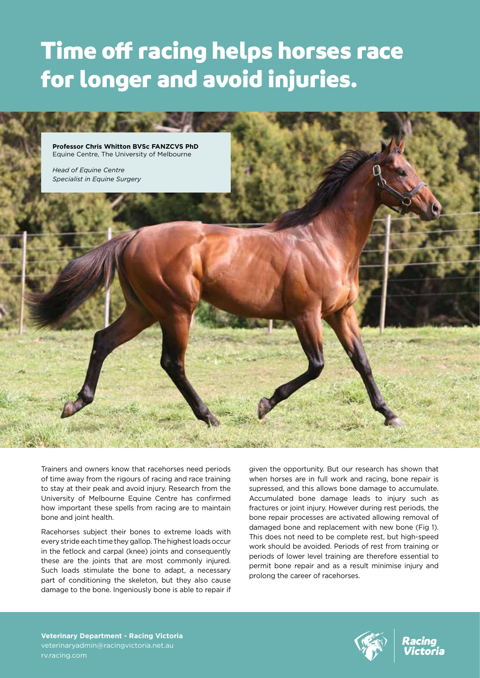## Time off racing helps horses race for longer and avoid injuries.



Trainers and owners know that racehorses need periods of time away from the rigours of racing and race training to stay at their peak and avoid injury. Research from the University of Melbourne Equine Centre has confirmed how important these spells from racing are to maintain bone and joint health.

Racehorses subject their bones to extreme loads with every stride each time they gallop. The highest loads occur in the fetlock and carpal (knee) joints and consequently these are the joints that are most commonly injured. Such loads stimulate the bone to adapt, a necessary part of conditioning the skeleton, but they also cause damage to the bone. Ingeniously bone is able to repair if

given the opportunity. But our research has shown that when horses are in full work and racing, bone repair is supressed, and this allows bone damage to accumulate. Accumulated bone damage leads to injury such as fractures or joint injury. However during rest periods, the bone repair processes are activated allowing removal of damaged bone and replacement with new bone (Fig 1). This does not need to be complete rest, but high-speed work should be avoided. Periods of rest from training or periods of lower level training are therefore essential to permit bone repair and as a result minimise injury and prolong the career of racehorses.

**Veterinary Department - Racing Victoria** veterinaryadmin@racingvictoria.net.au rv.racing.com